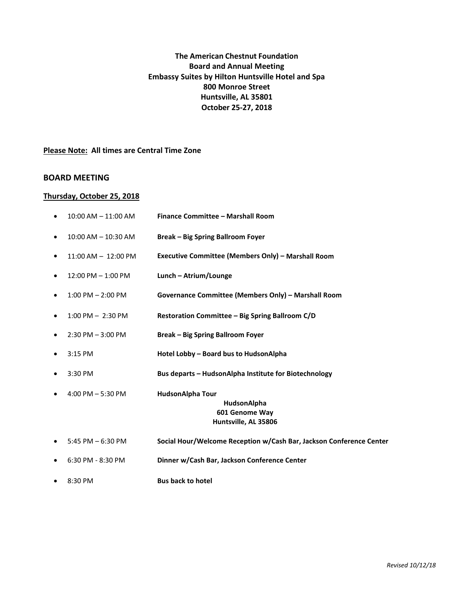# **The American Chestnut Foundation Board and Annual Meeting Embassy Suites by Hilton Huntsville Hotel and Spa 800 Monroe Street Huntsville, AL 35801 October 25-27, 2018**

**Please Note: All times are Central Time Zone** 

### **BOARD MEETING**

#### **Thursday, October 25, 2018**

| $\bullet$ | $10:00$ AM $- 11:00$ AM | Finance Committee - Marshall Room                                                |
|-----------|-------------------------|----------------------------------------------------------------------------------|
| $\bullet$ | $10:00$ AM $- 10:30$ AM | <b>Break - Big Spring Ballroom Foyer</b>                                         |
| $\bullet$ | $11:00$ AM $- 12:00$ PM | Executive Committee (Members Only) - Marshall Room                               |
| $\bullet$ | $12:00$ PM $- 1:00$ PM  | Lunch - Atrium/Lounge                                                            |
| $\bullet$ | $1:00$ PM $- 2:00$ PM   | Governance Committee (Members Only) - Marshall Room                              |
| $\bullet$ | $1:00$ PM $-2:30$ PM    | Restoration Committee – Big Spring Ballroom C/D                                  |
| $\bullet$ | $2:30$ PM $-3:00$ PM    | <b>Break - Big Spring Ballroom Foyer</b>                                         |
| $\bullet$ | 3:15 PM                 | Hotel Lobby - Board bus to HudsonAlpha                                           |
| $\bullet$ | 3:30 PM                 | Bus departs - HudsonAlpha Institute for Biotechnology                            |
| $\bullet$ | 4:00 PM $-$ 5:30 PM     | <b>HudsonAlpha Tour</b><br>HudsonAlpha<br>601 Genome Way<br>Huntsville, AL 35806 |
| $\bullet$ | 5:45 PM $-6:30$ PM      | Social Hour/Welcome Reception w/Cash Bar, Jackson Conference Center              |
| $\bullet$ | 6:30 PM - 8:30 PM       | Dinner w/Cash Bar, Jackson Conference Center                                     |
|           |                         |                                                                                  |

8:30 PM **Bus back to hotel**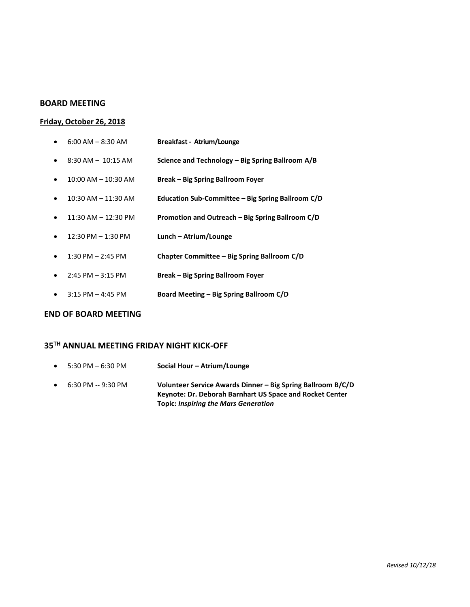#### **BOARD MEETING**

#### **Friday, October 26, 2018**

- 6:00 AM 8:30 AM **Breakfast - Atrium/Lounge**
- 8:30 AM 10:15 AM **Science and Technology – Big Spring Ballroom A/B**
- 10:00 AM 10:30 AM **Break – Big Spring Ballroom Foyer**
- 10:30 AM 11:30 AM **Education Sub-Committee – Big Spring Ballroom C/D**
- 11:30 AM 12:30 PM **Promotion and Outreach – Big Spring Ballroom C/D**
- 12:30 PM 1:30 PM **Lunch – Atrium/Lounge**
- 1:30 PM 2:45 PM **Chapter Committee – Big Spring Ballroom C/D**
- 2:45 PM 3:15 PM **Break – Big Spring Ballroom Foyer**
- 3:15 PM 4:45 PM **Board Meeting – Big Spring Ballroom C/D**

#### **END OF BOARD MEETING**

### **35TH ANNUAL MEETING FRIDAY NIGHT KICK-OFF**

 5:30 PM – 6:30 PM **Social Hour – Atrium/Lounge** 6:30 PM -- 9:30 PM **Volunteer Service Awards Dinner – Big Spring Ballroom B/C/D Keynote: Dr. Deborah Barnhart US Space and Rocket Center Topic:** *Inspiring the Mars Generation*